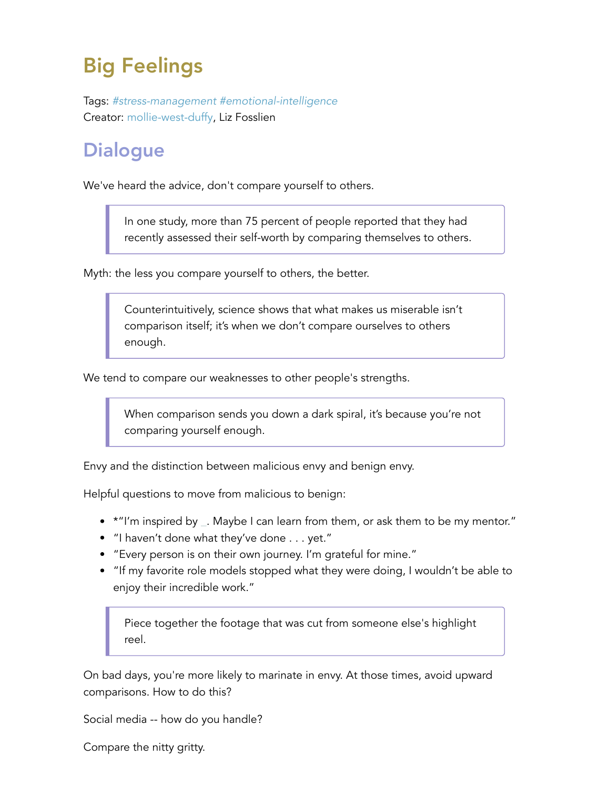## Big Feelings

Tags: *#stress-management #emotional-intelligence* Creator: mollie-west-duffy, Liz Fosslien

## **Dialogue**

We've heard the advice, don't compare yourself to others.

In one study, more than 75 percent of people reported that they had recently assessed their self-worth by comparing themselves to others.

Myth: the less you compare yourself to others, the better.

Counterintuitively, science shows that what makes us miserable isn't comparison itself; it's when we don't compare ourselves to others enough.

We tend to compare our weaknesses to other people's strengths.

When comparison sends you down a dark spiral, it's because you're not comparing yourself enough.

Envy and the distinction between malicious envy and benign envy.

Helpful questions to move from malicious to benign:

- \* "I'm inspired by \_. Maybe I can learn from them, or ask them to be my mentor."
- "I haven't done what they've done . . . yet."
- "Every person is on their own journey. I'm grateful for mine."
- "If my favorite role models stopped what they were doing, I wouldn't be able to enjoy their incredible work."

Piece together the footage that was cut from someone else's highlight reel.

On bad days, you're more likely to marinate in envy. At those times, avoid upward comparisons. How to do this?

Social media -- how do you handle?

Compare the nitty gritty.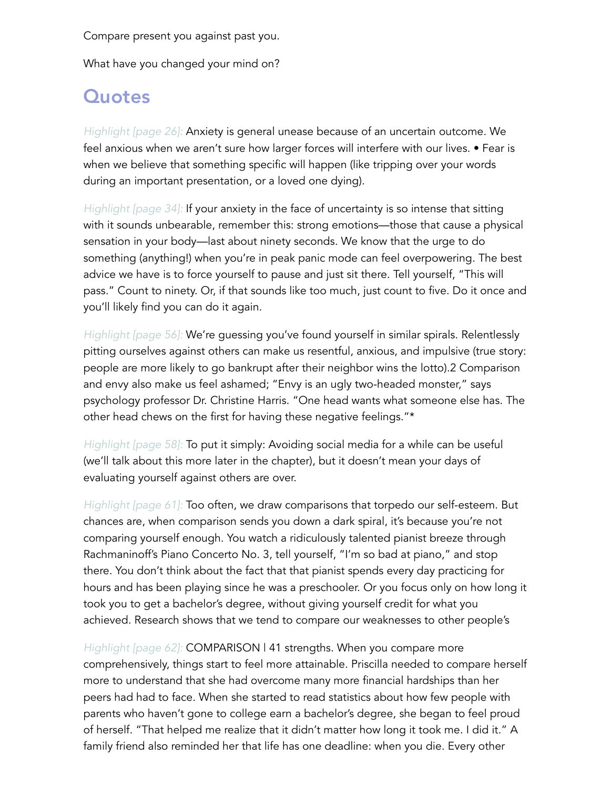Compare present you against past you.

What have you changed your mind on?

## **Quotes**

*Highlight [page 26]:* Anxiety is general unease because of an uncertain outcome. We feel anxious when we aren't sure how larger forces will interfere with our lives. • Fear is when we believe that something specific will happen (like tripping over your words during an important presentation, or a loved one dying).

*Highlight [page 34]:* If your anxiety in the face of uncertainty is so intense that sitting with it sounds unbearable, remember this: strong emotions—those that cause a physical sensation in your body—last about ninety seconds. We know that the urge to do something (anything!) when you're in peak panic mode can feel overpowering. The best advice we have is to force yourself to pause and just sit there. Tell yourself, "This will pass." Count to ninety. Or, if that sounds like too much, just count to five. Do it once and you'll likely find you can do it again.

*Highlight [page 56]:* We're guessing you've found yourself in similar spirals. Relentlessly pitting ourselves against others can make us resentful, anxious, and impulsive (true story: people are more likely to go bankrupt after their neighbor wins the lotto).2 Comparison and envy also make us feel ashamed; "Envy is an ugly two-headed monster," says psychology professor Dr. Christine Harris. "One head wants what someone else has. The other head chews on the first for having these negative feelings."\*

*Highlight [page 58]:* To put it simply: Avoiding social media for a while can be useful (we'll talk about this more later in the chapter), but it doesn't mean your days of evaluating yourself against others are over.

*Highlight [page 61]:* Too often, we draw comparisons that torpedo our self-esteem. But chances are, when comparison sends you down a dark spiral, it's because you're not comparing yourself enough. You watch a ridiculously talented pianist breeze through Rachmaninoff's Piano Concerto No. 3, tell yourself, "I'm so bad at piano," and stop there. You don't think about the fact that that pianist spends every day practicing for hours and has been playing since he was a preschooler. Or you focus only on how long it took you to get a bachelor's degree, without giving yourself credit for what you achieved. Research shows that we tend to compare our weaknesses to other people's

*Highlight [page 62]:* COMPARISON | 41 strengths. When you compare more comprehensively, things start to feel more attainable. Priscilla needed to compare herself more to understand that she had overcome many more financial hardships than her peers had had to face. When she started to read statistics about how few people with parents who haven't gone to college earn a bachelor's degree, she began to feel proud of herself. "That helped me realize that it didn't matter how long it took me. I did it." A family friend also reminded her that life has one deadline: when you die. Every other